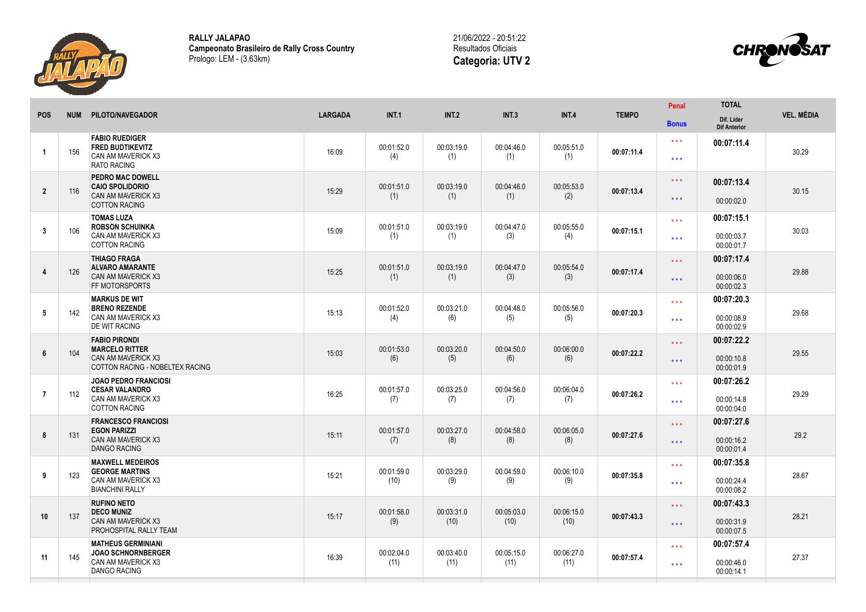

**RALLY JALAPAO Campeonato Brasileiro de Rally Cross Country** Prologo: LEM - (3.63km)



|                |            |                                                                                                        |                |                    |                    |                    |                    |              | Penal                                      | <b>TOTAL</b>                           |                   |
|----------------|------------|--------------------------------------------------------------------------------------------------------|----------------|--------------------|--------------------|--------------------|--------------------|--------------|--------------------------------------------|----------------------------------------|-------------------|
| <b>POS</b>     | <b>NUM</b> | PILOTO/NAVEGADOR                                                                                       | <b>LARGADA</b> | <b>INT.1</b>       | INT.2              | <b>INT.3</b>       | <b>INT.4</b>       | <b>TEMPO</b> | <b>Bonus</b>                               | Dif. Lider<br><b>Dif Anterior</b>      | <b>VEL. MÉDIA</b> |
| $\mathbf 1$    | 156        | <b>FABIO RUEDIGER</b><br><b>FRED BUDTIKEVITZ</b><br>CAN AM MAVERICK X3<br><b>RATO RACING</b>           | 16:09          | 00:01:52.0<br>(4)  | 00:03:19.0<br>(1)  | 00:04:46.0<br>(1)  | 00:05:51.0<br>(1)  | 00:07:11.4   | $\star \star \star$<br>$\star \star \star$ | 00:07:11.4                             | 30.29             |
| $\overline{2}$ | 116        | PEDRO MAC DOWELL<br><b>CAIO SPOLIDORIO</b><br>CAN AM MAVERICK X3<br><b>COTTON RACING</b>               | 15:29          | 00:01:51.0<br>(1)  | 00:03:19.0<br>(1)  | 00:04:46.0<br>(1)  | 00:05:53.0<br>(2)  | 00:07:13.4   | $* * *$<br>$***$                           | 00:07:13.4<br>00:00:02.0               | 30.15             |
| 3              | 106        | <b>TOMAS LUZA</b><br><b>ROBSON SCHUINKA</b><br>CAN AM MAVERICK X3<br><b>COTTON RACING</b>              | 15:09          | 00:01:51.0<br>(1)  | 00:03:19.0<br>(1)  | 00:04:47.0<br>(3)  | 00:05:55.0<br>(4)  | 00:07:15.1   | $\star \star \star$<br>$\star \star \star$ | 00:07:15.1<br>00:00:03.7<br>00:00:01.7 | 30.03             |
| $\overline{4}$ | 126        | <b>THIAGO FRAGA</b><br><b>ALVARO AMARANTE</b><br><b>CAN AM MAVERICK X3</b><br><b>FF MOTORSPORTS</b>    | 15:25          | 00:01:51.0<br>(1)  | 00:03:19.0<br>(1)  | 00:04:47.0<br>(3)  | 00:05:54.0<br>(3)  | 00:07:17.4   | $\star \star \star$<br>$***$               | 00:07:17.4<br>00:00:06.0<br>00:00:02.3 | 29.88             |
| 5              | 142        | <b>MARKUS DE WIT</b><br><b>BRENO REZENDE</b><br>CAN AM MAVERICK X3<br><b>DE WIT RACING</b>             | 15:13          | 00:01:52.0<br>(4)  | 00:03:21.0<br>(6)  | 00:04:48.0<br>(5)  | 00:05:56.0<br>(5)  | 00:07:20.3   | $\star \star \star$<br>$\star \star \star$ | 00:07:20.3<br>00:00:08.9<br>00:00:02.9 | 29.68             |
| $6\phantom{.}$ | 104        | <b>FABIO PIRONDI</b><br><b>MARCELO RITTER</b><br>CAN AM MAVERICK X3<br>COTTON RACING - NOBELTEX RACING | 15:03          | 00:01:53.0<br>(6)  | 00:03:20.0<br>(5)  | 00:04:50.0<br>(6)  | 00:06:00.0<br>(6)  | 00:07:22.2   | $\star \star \star$<br>$***$               | 00:07:22.2<br>00:00:10.8<br>00:00:01.9 | 29.55             |
| $\overline{7}$ | 112        | <b>JOAO PEDRO FRANCIOSI</b><br><b>CESAR VALANDRO</b><br>CAN AM MAVERICK X3<br><b>COTTON RACING</b>     | 16:25          | 00:01:57.0<br>(7)  | 00:03:25.0<br>(7)  | 00:04:56.0<br>(7)  | 00:06:04.0<br>(7)  | 00:07:26.2   | $\star \star \star$<br>$\star\star\star$   | 00:07:26.2<br>00:00:14.8<br>00:00:04.0 | 29.29             |
| 8              | 131        | <b>FRANCESCO FRANCIOSI</b><br><b>EGON PARIZZI</b><br>CAN AM MAVERICK X3<br><b>DANGO RACING</b>         | 15:11          | 00:01:57.0<br>(7)  | 00:03:27.0<br>(8)  | 00:04:58.0<br>(8)  | 00:06:05.0<br>(8)  | 00:07:27.6   | $\star \star \star$<br>$\star \star \star$ | 00:07:27.6<br>00:00:16.2<br>00:00:01.4 | 29.2              |
| 9              | 123        | <b>MAXWELL MEDEIROS</b><br><b>GEORGE MARTINS</b><br>CAN AM MAVERICK X3<br><b>BIANCHINI RALLY</b>       | 15:21          | 00:01:59.0<br>(10) | 00:03:29.0<br>(9)  | 00:04:59.0<br>(9)  | 00:06:10.0<br>(9)  | 00:07:35.8   | $\star \star \star$<br>$***$               | 00:07:35.8<br>00:00:24.4<br>00:00:08.2 | 28.67             |
| 10             | 137        | <b>RUFINO NETO</b><br><b>DECO MUNIZ</b><br>CAN AM MAVERICK X3                                          | 15:17          | 00:01:58.0<br>(9)  | 00:03:31.0<br>(10) | 00:05:03.0<br>(10) | 00:06:15.0<br>(10) | 00:07:43.3   | $\star \star \star$                        | 00:07:43.3<br>00:00:31.9               | 28.21             |
|                |            | PROHOSPITAL RALLY TEAM                                                                                 |                |                    |                    |                    |                    |              | $***$                                      | 00:00:07.5                             |                   |
| 11             | 145        | <b>MATHEUS GERMINIANI</b><br><b>JOAO SCHNORNBERGER</b><br>CAN AM MAVERICK X3<br><b>DANGO RACING</b>    | 16:39          | 00:02:04.0<br>(11) | 00:03:40.0<br>(11) | 00:05:15.0<br>(11) | 00:06:27.0<br>(11) | 00:07:57.4   | $\star \star \star$<br>$* * *$             | 00:07:57.4<br>00:00:46.0<br>00:00:14.1 | 27.37             |